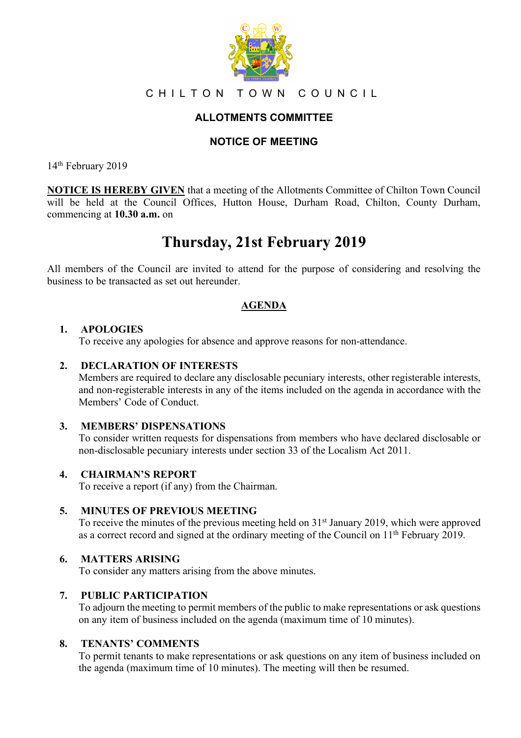

## CHILTON TOWN COUNCIL

# **ALLOTMENTS COMMITTEE**

## **NOTICE OF MEETING**

14<sup>th</sup> February 2019

**NOTICE IS HEREBY GIVEN** that a meeting of the Allotments Committee of Chilton Town Council will be held at the Council Offices, Hutton House, Durham Road, Chilton, County Durham, commencing at **10.30 a.m.** on

# **Thursday, 21st February 2019**

All members of the Council are invited to attend for the purpose of considering and resolving the business to be transacted as set out hereunder.

## **AGENDA**

### **1. APOLOGIES**

To receive any apologies for absence and approve reasons for non-attendance.

### **2. DECLARATION OF INTERESTS**

Members are required to declare any disclosable pecuniary interests, other registerable interests, and non-registerable interests in any of the items included on the agenda in accordance with the Members' Code of Conduct.

#### **3. MEMBERS' DISPENSATIONS**

To consider written requests for dispensations from members who have declared disclosable or non-disclosable pecuniary interests under section 33 of the Localism Act 2011.

#### **4. CHAIRMAN'S REPORT**

To receive a report (if any) from the Chairman.

#### **5. MINUTES OF PREVIOUS MEETING**

To receive the minutes of the previous meeting held on 31<sup>st</sup> January 2019, which were approved as a correct record and signed at the ordinary meeting of the Council on 11th February 2019.

## **6. MATTERS ARISING**

To consider any matters arising from the above minutes.

#### **7. PUBLIC PARTICIPATION**

To adjourn the meeting to permit members of the public to make representations or ask questions on any item of business included on the agenda (maximum time of 10 minutes).

#### **8. TENANTS' COMMENTS**

To permit tenants to make representations or ask questions on any item of business included on the agenda (maximum time of 10 minutes). The meeting will then be resumed.